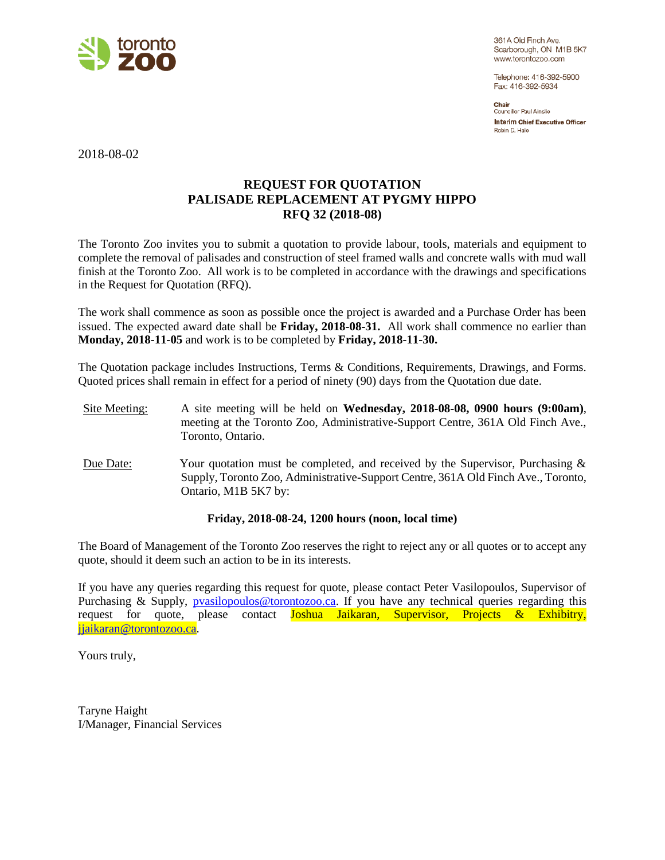

361A Old Finch Ave. Scarborough, ON M1B 5K7 www.torontozoo.com

Telephone: 416-392-5900 Fax: 416-392-5934

Chair **Councillor Paul Ainslie Interim Chief Executive Officer** Robin D. Hale

2018-08-02

# **REQUEST FOR QUOTATION PALISADE REPLACEMENT AT PYGMY HIPPO RFQ 32 (2018-08)**

The Toronto Zoo invites you to submit a quotation to provide labour, tools, materials and equipment to complete the removal of palisades and construction of steel framed walls and concrete walls with mud wall finish at the Toronto Zoo. All work is to be completed in accordance with the drawings and specifications in the Request for Quotation (RFQ).

The work shall commence as soon as possible once the project is awarded and a Purchase Order has been issued. The expected award date shall be **Friday, 2018-08-31.** All work shall commence no earlier than **Monday, 2018-11-05** and work is to be completed by **Friday, 2018-11-30.**

The Quotation package includes Instructions, Terms & Conditions, Requirements, Drawings, and Forms. Quoted prices shall remain in effect for a period of ninety (90) days from the Quotation due date.

- Site Meeting: A site meeting will be held on **Wednesday, 2018-08-08, 0900 hours (9:00am)**, meeting at the Toronto Zoo, Administrative-Support Centre, 361A Old Finch Ave., Toronto, Ontario.
- Due Date: Your quotation must be completed, and received by the Supervisor, Purchasing & Supply, Toronto Zoo, Administrative-Support Centre, 361A Old Finch Ave., Toronto, Ontario, M1B 5K7 by:

## **Friday, 2018-08-24, 1200 hours (noon, local time)**

The Board of Management of the Toronto Zoo reserves the right to reject any or all quotes or to accept any quote, should it deem such an action to be in its interests.

If you have any queries regarding this request for quote, please contact Peter Vasilopoulos, Supervisor of Purchasing & Supply, [pvasilopoulos@torontozoo.ca.](mailto:pvasilopoulos@torontozoo.ca) If you have any technical queries regarding this request for quote, please contact Joshua Jaikaran, Supervisor, Projects & Exhibitry, [jjaikaran@torontozoo.ca.](mailto:jjaikaran@torontozoo.ca)

Yours truly,

Taryne Haight I/Manager, Financial Services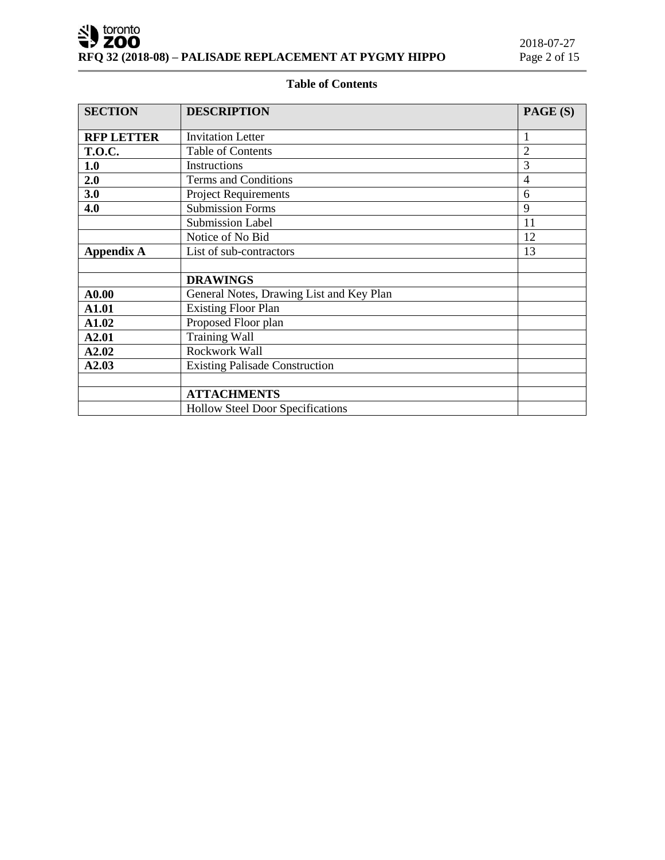# **Table of Contents**

| <b>SECTION</b>                                     | <b>DESCRIPTION</b>                       | PAGE (S)       |
|----------------------------------------------------|------------------------------------------|----------------|
| <b>RFP LETTER</b>                                  | <b>Invitation Letter</b>                 | 1              |
| <b>T.O.C.</b>                                      | <b>Table of Contents</b>                 | $\overline{2}$ |
| 1.0                                                | Instructions                             | 3              |
| 2.0                                                | <b>Terms and Conditions</b>              | $\overline{4}$ |
| 3.0                                                | <b>Project Requirements</b>              | 6              |
| 4.0                                                | <b>Submission Forms</b>                  | 9              |
|                                                    | <b>Submission Label</b>                  | 11             |
|                                                    | Notice of No Bid                         | 12             |
| 13<br><b>Appendix A</b><br>List of sub-contractors |                                          |                |
|                                                    |                                          |                |
|                                                    | <b>DRAWINGS</b>                          |                |
| A0.00                                              | General Notes, Drawing List and Key Plan |                |
| A1.01                                              | <b>Existing Floor Plan</b>               |                |
| A1.02                                              | Proposed Floor plan                      |                |
| <b>Training Wall</b><br>A2.01                      |                                          |                |
| A2.02                                              | Rockwork Wall                            |                |
| A2.03                                              | <b>Existing Palisade Construction</b>    |                |
|                                                    |                                          |                |
|                                                    | <b>ATTACHMENTS</b>                       |                |
|                                                    | <b>Hollow Steel Door Specifications</b>  |                |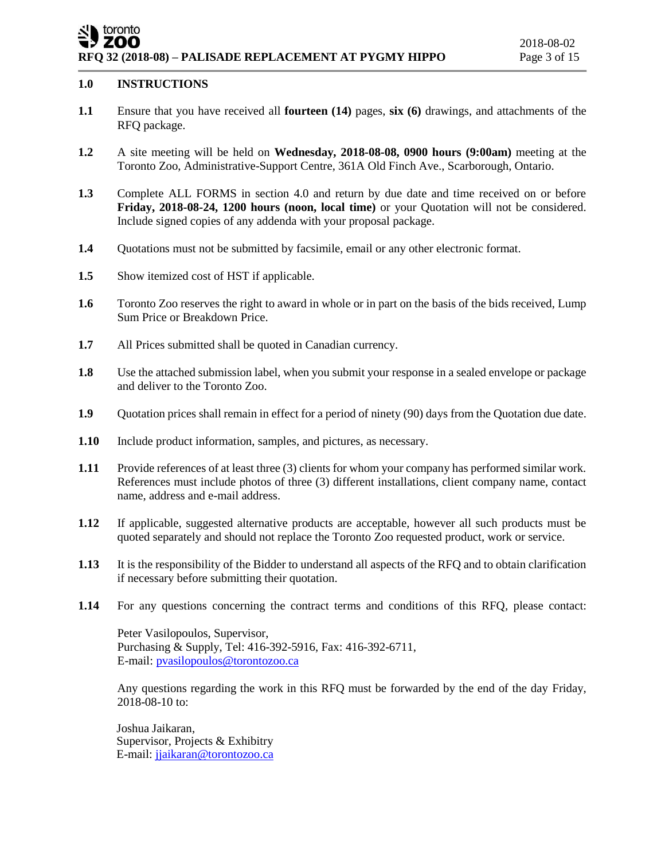### toronto ZOO **RFQ 32 (2018-08) – PALISADE REPLACEMENT AT PYGMY HIPPO** Page 3 of 15

## **1.0 INSTRUCTIONS**

- **1.1** Ensure that you have received all **fourteen (14)** pages, **six (6)** drawings, and attachments of the RFQ package.
- **1.2** A site meeting will be held on **Wednesday, 2018-08-08, 0900 hours (9:00am)** meeting at the Toronto Zoo, Administrative-Support Centre, 361A Old Finch Ave., Scarborough, Ontario.
- **1.3** Complete ALL FORMS in section 4.0 and return by due date and time received on or before **Friday, 2018-08-24, 1200 hours (noon, local time)** or your Quotation will not be considered. Include signed copies of any addenda with your proposal package.
- **1.4** Ouotations must not be submitted by facsimile, email or any other electronic format.
- **1.5** Show itemized cost of HST if applicable.
- **1.6** Toronto Zoo reserves the right to award in whole or in part on the basis of the bids received, Lump Sum Price or Breakdown Price.
- **1.7** All Prices submitted shall be quoted in Canadian currency.
- **1.8** Use the attached submission label, when you submit your response in a sealed envelope or package and deliver to the Toronto Zoo.
- **1.9** Quotation prices shall remain in effect for a period of ninety (90) days from the Quotation due date.
- **1.10** Include product information, samples, and pictures, as necessary.
- **1.11** Provide references of at least three (3) clients for whom your company has performed similar work. References must include photos of three (3) different installations, client company name, contact name, address and e-mail address.
- **1.12** If applicable, suggested alternative products are acceptable, however all such products must be quoted separately and should not replace the Toronto Zoo requested product, work or service.
- **1.13** It is the responsibility of the Bidder to understand all aspects of the RFQ and to obtain clarification if necessary before submitting their quotation.
- **1.14** For any questions concerning the contract terms and conditions of this RFQ, please contact:

Peter Vasilopoulos, Supervisor, Purchasing & Supply, Tel: 416-392-5916, Fax: 416-392-6711, E-mail[: pvasilopoulos@torontozoo.ca](mailto:pvasilopoulos@torontozoo.ca)

Any questions regarding the work in this RFQ must be forwarded by the end of the day Friday, 2018-08-10 to:

Joshua Jaikaran, Supervisor, Projects & Exhibitry E-mail: [jjaikaran@torontozoo.ca](mailto:jjaikaran@torontozoo.ca)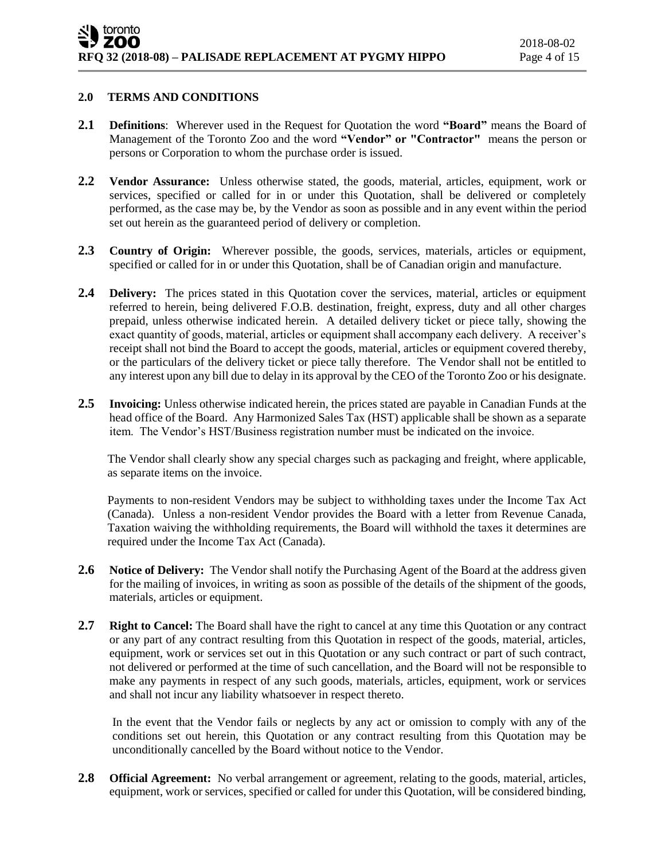## **2.0 TERMS AND CONDITIONS**

- **2.1 Definitions**: Wherever used in the Request for Quotation the word **"Board"** means the Board of Management of the Toronto Zoo and the word **"Vendor" or "Contractor"** means the person or persons or Corporation to whom the purchase order is issued.
- **2.2 Vendor Assurance:** Unless otherwise stated, the goods, material, articles, equipment, work or services, specified or called for in or under this Quotation, shall be delivered or completely performed, as the case may be, by the Vendor as soon as possible and in any event within the period set out herein as the guaranteed period of delivery or completion.
- **2.3 Country of Origin:** Wherever possible, the goods, services, materials, articles or equipment, specified or called for in or under this Quotation, shall be of Canadian origin and manufacture.
- **2.4 Delivery:** The prices stated in this Quotation cover the services, material, articles or equipment referred to herein, being delivered F.O.B. destination, freight, express, duty and all other charges prepaid, unless otherwise indicated herein. A detailed delivery ticket or piece tally, showing the exact quantity of goods, material, articles or equipment shall accompany each delivery. A receiver's receipt shall not bind the Board to accept the goods, material, articles or equipment covered thereby, or the particulars of the delivery ticket or piece tally therefore. The Vendor shall not be entitled to any interest upon any bill due to delay in its approval by the CEO of the Toronto Zoo or his designate.
- **2.5 Invoicing:** Unless otherwise indicated herein, the prices stated are payable in Canadian Funds at the head office of the Board. Any Harmonized Sales Tax (HST) applicable shall be shown as a separate item. The Vendor's HST/Business registration number must be indicated on the invoice.

The Vendor shall clearly show any special charges such as packaging and freight, where applicable, as separate items on the invoice.

Payments to non-resident Vendors may be subject to withholding taxes under the Income Tax Act (Canada). Unless a non-resident Vendor provides the Board with a letter from Revenue Canada, Taxation waiving the withholding requirements, the Board will withhold the taxes it determines are required under the Income Tax Act (Canada).

- **2.6 Notice of Delivery:** The Vendor shall notify the Purchasing Agent of the Board at the address given for the mailing of invoices, in writing as soon as possible of the details of the shipment of the goods, materials, articles or equipment.
- **2.7 Right to Cancel:** The Board shall have the right to cancel at any time this Quotation or any contract or any part of any contract resulting from this Quotation in respect of the goods, material, articles, equipment, work or services set out in this Quotation or any such contract or part of such contract, not delivered or performed at the time of such cancellation, and the Board will not be responsible to make any payments in respect of any such goods, materials, articles, equipment, work or services and shall not incur any liability whatsoever in respect thereto.

In the event that the Vendor fails or neglects by any act or omission to comply with any of the conditions set out herein, this Quotation or any contract resulting from this Quotation may be unconditionally cancelled by the Board without notice to the Vendor.

2.8 **Official Agreement:** No verbal arrangement or agreement, relating to the goods, material, articles, equipment, work or services, specified or called for under this Quotation, will be considered binding,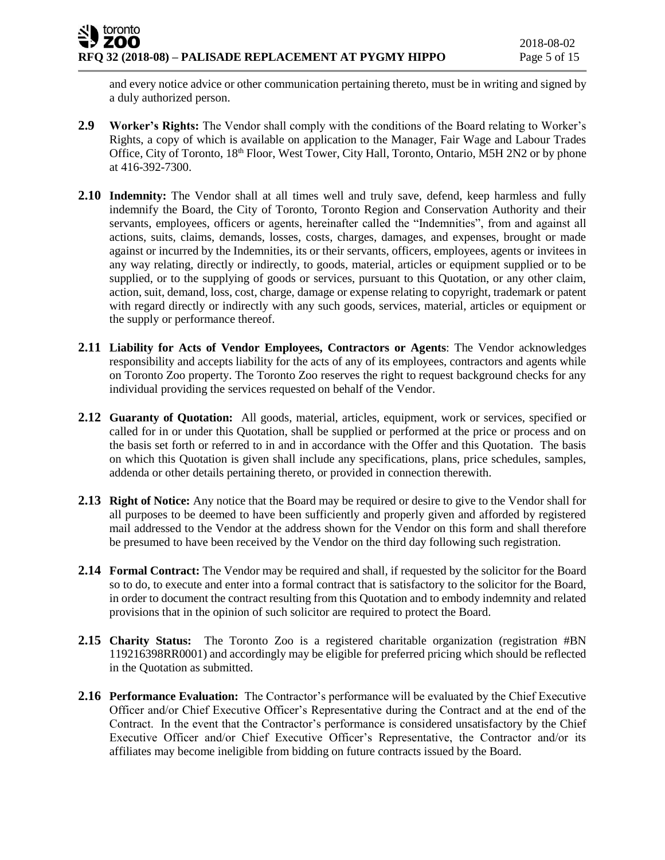and every notice advice or other communication pertaining thereto, must be in writing and signed by a duly authorized person.

- **2.9 Worker's Rights:** The Vendor shall comply with the conditions of the Board relating to Worker's Rights, a copy of which is available on application to the Manager, Fair Wage and Labour Trades Office, City of Toronto, 18<sup>th</sup> Floor, West Tower, City Hall, Toronto, Ontario, M5H 2N2 or by phone at 416-392-7300.
- **2.10 Indemnity:** The Vendor shall at all times well and truly save, defend, keep harmless and fully indemnify the Board, the City of Toronto, Toronto Region and Conservation Authority and their servants, employees, officers or agents, hereinafter called the "Indemnities", from and against all actions, suits, claims, demands, losses, costs, charges, damages, and expenses, brought or made against or incurred by the Indemnities, its or their servants, officers, employees, agents or invitees in any way relating, directly or indirectly, to goods, material, articles or equipment supplied or to be supplied, or to the supplying of goods or services, pursuant to this Quotation, or any other claim, action, suit, demand, loss, cost, charge, damage or expense relating to copyright, trademark or patent with regard directly or indirectly with any such goods, services, material, articles or equipment or the supply or performance thereof.
- **2.11 Liability for Acts of Vendor Employees, Contractors or Agents**: The Vendor acknowledges responsibility and accepts liability for the acts of any of its employees, contractors and agents while on Toronto Zoo property. The Toronto Zoo reserves the right to request background checks for any individual providing the services requested on behalf of the Vendor.
- **2.12 Guaranty of Quotation:** All goods, material, articles, equipment, work or services, specified or called for in or under this Quotation, shall be supplied or performed at the price or process and on the basis set forth or referred to in and in accordance with the Offer and this Quotation. The basis on which this Quotation is given shall include any specifications, plans, price schedules, samples, addenda or other details pertaining thereto, or provided in connection therewith.
- **2.13 Right of Notice:** Any notice that the Board may be required or desire to give to the Vendor shall for all purposes to be deemed to have been sufficiently and properly given and afforded by registered mail addressed to the Vendor at the address shown for the Vendor on this form and shall therefore be presumed to have been received by the Vendor on the third day following such registration.
- **2.14 Formal Contract:** The Vendor may be required and shall, if requested by the solicitor for the Board so to do, to execute and enter into a formal contract that is satisfactory to the solicitor for the Board, in order to document the contract resulting from this Quotation and to embody indemnity and related provisions that in the opinion of such solicitor are required to protect the Board.
- **2.15 Charity Status:** The Toronto Zoo is a registered charitable organization (registration #BN 119216398RR0001) and accordingly may be eligible for preferred pricing which should be reflected in the Quotation as submitted.
- **2.16 Performance Evaluation:** The Contractor's performance will be evaluated by the Chief Executive Officer and/or Chief Executive Officer's Representative during the Contract and at the end of the Contract. In the event that the Contractor's performance is considered unsatisfactory by the Chief Executive Officer and/or Chief Executive Officer's Representative, the Contractor and/or its affiliates may become ineligible from bidding on future contracts issued by the Board.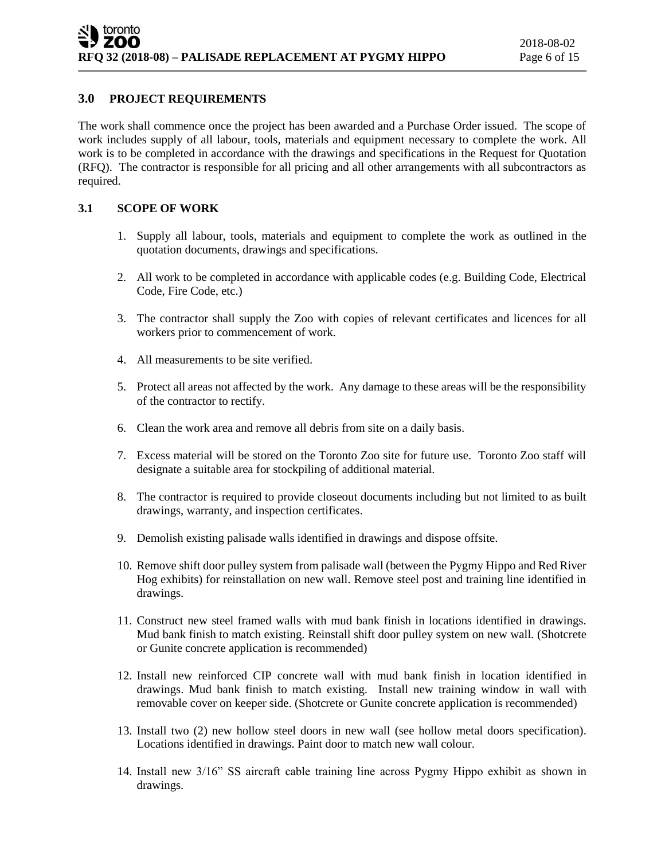## **3.0 PROJECT REQUIREMENTS**

The work shall commence once the project has been awarded and a Purchase Order issued. The scope of work includes supply of all labour, tools, materials and equipment necessary to complete the work. All work is to be completed in accordance with the drawings and specifications in the Request for Quotation (RFQ). The contractor is responsible for all pricing and all other arrangements with all subcontractors as required.

## **3.1 SCOPE OF WORK**

- 1. Supply all labour, tools, materials and equipment to complete the work as outlined in the quotation documents, drawings and specifications.
- 2. All work to be completed in accordance with applicable codes (e.g. Building Code, Electrical Code, Fire Code, etc.)
- 3. The contractor shall supply the Zoo with copies of relevant certificates and licences for all workers prior to commencement of work.
- 4. All measurements to be site verified.
- 5. Protect all areas not affected by the work. Any damage to these areas will be the responsibility of the contractor to rectify.
- 6. Clean the work area and remove all debris from site on a daily basis.
- 7. Excess material will be stored on the Toronto Zoo site for future use. Toronto Zoo staff will designate a suitable area for stockpiling of additional material.
- 8. The contractor is required to provide closeout documents including but not limited to as built drawings, warranty, and inspection certificates.
- 9. Demolish existing palisade walls identified in drawings and dispose offsite.
- 10. Remove shift door pulley system from palisade wall (between the Pygmy Hippo and Red River Hog exhibits) for reinstallation on new wall. Remove steel post and training line identified in drawings.
- 11. Construct new steel framed walls with mud bank finish in locations identified in drawings. Mud bank finish to match existing. Reinstall shift door pulley system on new wall. (Shotcrete or Gunite concrete application is recommended)
- 12. Install new reinforced CIP concrete wall with mud bank finish in location identified in drawings. Mud bank finish to match existing. Install new training window in wall with removable cover on keeper side. (Shotcrete or Gunite concrete application is recommended)
- 13. Install two (2) new hollow steel doors in new wall (see hollow metal doors specification). Locations identified in drawings. Paint door to match new wall colour.
- 14. Install new 3/16" SS aircraft cable training line across Pygmy Hippo exhibit as shown in drawings.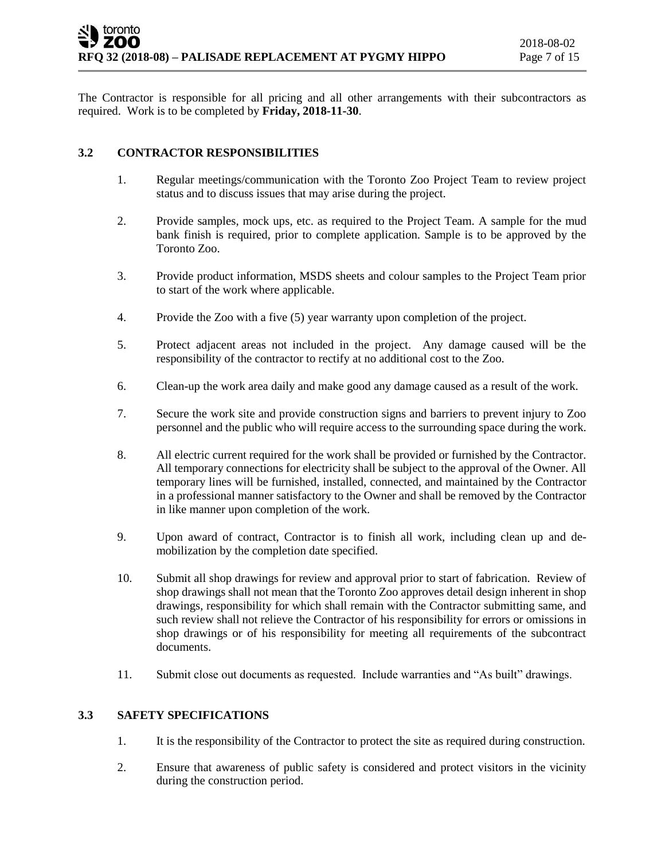The Contractor is responsible for all pricing and all other arrangements with their subcontractors as required. Work is to be completed by **Friday, 2018-11-30**.

## **3.2 CONTRACTOR RESPONSIBILITIES**

- 1. Regular meetings/communication with the Toronto Zoo Project Team to review project status and to discuss issues that may arise during the project.
- 2. Provide samples, mock ups, etc. as required to the Project Team. A sample for the mud bank finish is required, prior to complete application. Sample is to be approved by the Toronto Zoo.
- 3. Provide product information, MSDS sheets and colour samples to the Project Team prior to start of the work where applicable.
- 4. Provide the Zoo with a five (5) year warranty upon completion of the project.
- 5. Protect adjacent areas not included in the project. Any damage caused will be the responsibility of the contractor to rectify at no additional cost to the Zoo.
- 6. Clean-up the work area daily and make good any damage caused as a result of the work.
- 7. Secure the work site and provide construction signs and barriers to prevent injury to Zoo personnel and the public who will require access to the surrounding space during the work.
- 8. All electric current required for the work shall be provided or furnished by the Contractor. All temporary connections for electricity shall be subject to the approval of the Owner. All temporary lines will be furnished, installed, connected, and maintained by the Contractor in a professional manner satisfactory to the Owner and shall be removed by the Contractor in like manner upon completion of the work.
- 9. Upon award of contract, Contractor is to finish all work, including clean up and demobilization by the completion date specified.
- 10. Submit all shop drawings for review and approval prior to start of fabrication. Review of shop drawings shall not mean that the Toronto Zoo approves detail design inherent in shop drawings, responsibility for which shall remain with the Contractor submitting same, and such review shall not relieve the Contractor of his responsibility for errors or omissions in shop drawings or of his responsibility for meeting all requirements of the subcontract documents.
- 11. Submit close out documents as requested. Include warranties and "As built" drawings.

#### **3.3 SAFETY SPECIFICATIONS**

- 1. It is the responsibility of the Contractor to protect the site as required during construction.
- 2. Ensure that awareness of public safety is considered and protect visitors in the vicinity during the construction period.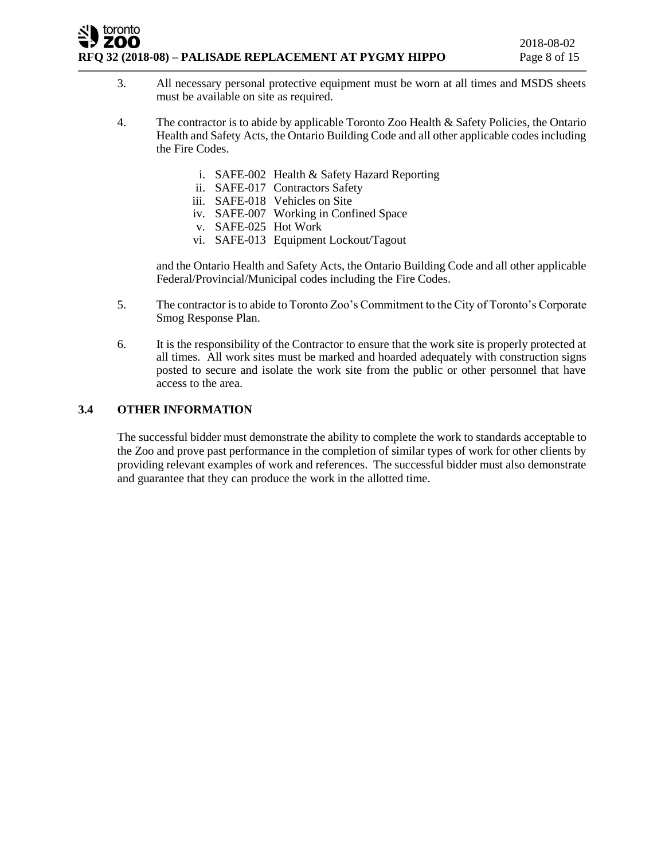## toronto ZOO **RFQ 32 (2018-08) – PALISADE REPLACEMENT AT PYGMY HIPPO** Page 8 of 15

- 3. All necessary personal protective equipment must be worn at all times and MSDS sheets must be available on site as required.
- 4. The contractor is to abide by applicable Toronto Zoo Health & Safety Policies, the Ontario Health and Safety Acts, the Ontario Building Code and all other applicable codes including the Fire Codes.
	- i. SAFE-002 Health & Safety Hazard Reporting
	- ii. SAFE-017 Contractors Safety
	- iii. SAFE-018 Vehicles on Site
	- iv. SAFE-007 Working in Confined Space
	- v. SAFE-025 Hot Work
	- vi. SAFE-013 Equipment Lockout/Tagout

and the Ontario Health and Safety Acts, the Ontario Building Code and all other applicable Federal/Provincial/Municipal codes including the Fire Codes.

- 5. The contractor is to abide to Toronto Zoo's Commitment to the City of Toronto's Corporate Smog Response Plan.
- 6. It is the responsibility of the Contractor to ensure that the work site is properly protected at all times. All work sites must be marked and hoarded adequately with construction signs posted to secure and isolate the work site from the public or other personnel that have access to the area.

## **3.4 OTHER INFORMATION**

The successful bidder must demonstrate the ability to complete the work to standards acceptable to the Zoo and prove past performance in the completion of similar types of work for other clients by providing relevant examples of work and references. The successful bidder must also demonstrate and guarantee that they can produce the work in the allotted time.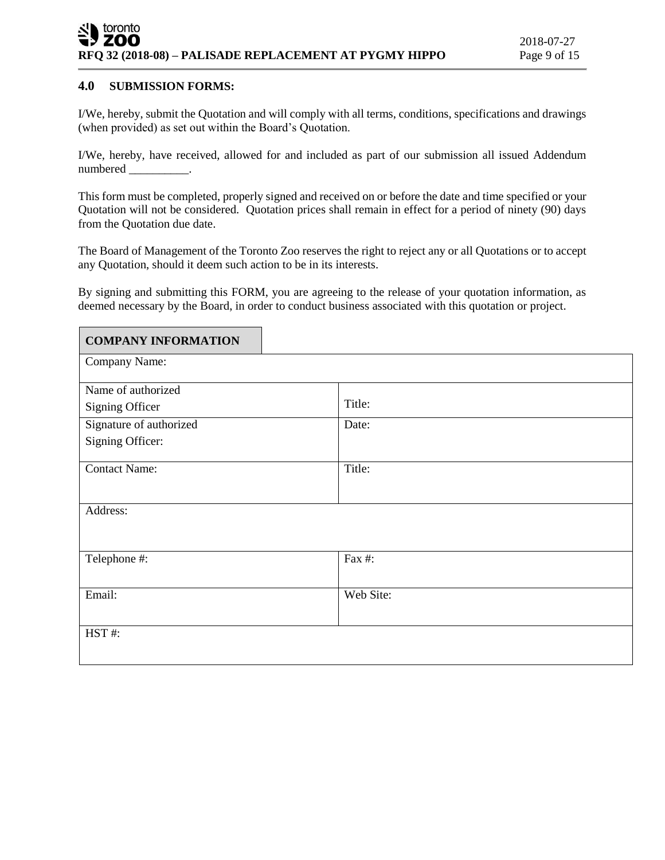## **4.0 SUBMISSION FORMS:**

I/We, hereby, submit the Quotation and will comply with all terms, conditions, specifications and drawings (when provided) as set out within the Board's Quotation.

I/We, hereby, have received, allowed for and included as part of our submission all issued Addendum numbered \_\_\_\_\_\_\_\_\_\_.

This form must be completed, properly signed and received on or before the date and time specified or your Quotation will not be considered. Quotation prices shall remain in effect for a period of ninety (90) days from the Quotation due date.

The Board of Management of the Toronto Zoo reserves the right to reject any or all Quotations or to accept any Quotation, should it deem such action to be in its interests.

By signing and submitting this FORM, you are agreeing to the release of your quotation information, as deemed necessary by the Board, in order to conduct business associated with this quotation or project.

| <b>COMPANY INFORMATION</b> |           |
|----------------------------|-----------|
| Company Name:              |           |
| Name of authorized         |           |
| <b>Signing Officer</b>     | Title:    |
| Signature of authorized    | Date:     |
| Signing Officer:           |           |
| Contact Name:              | Title:    |
|                            |           |
| Address:                   |           |
|                            |           |
| Telephone #:               | Fax #:    |
|                            |           |
| Email:                     | Web Site: |
|                            |           |
| HST#:                      |           |
|                            |           |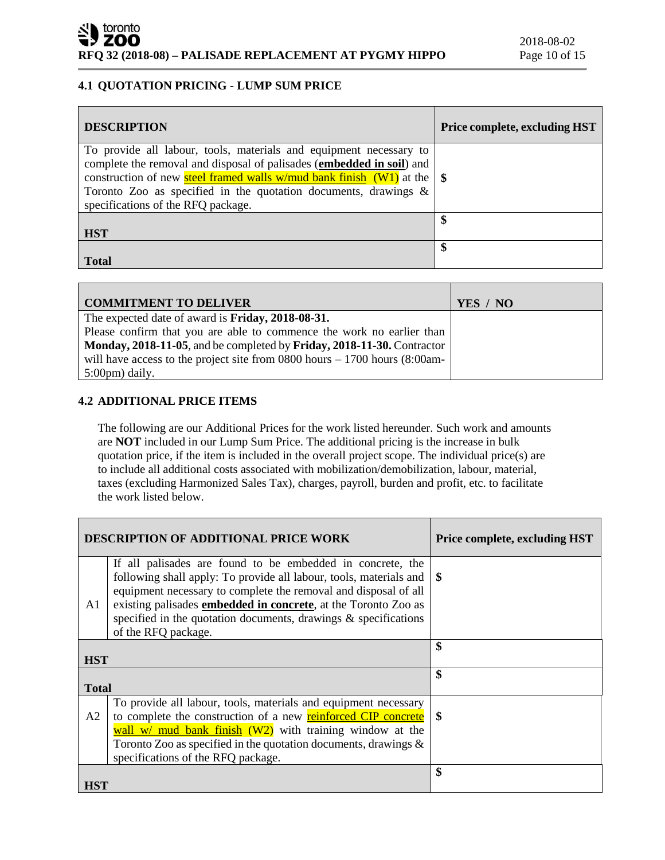# **4.1 QUOTATION PRICING - LUMP SUM PRICE**

| <b>DESCRIPTION</b>                                                                                                                                                                                                                                                                                                                         | <b>Price complete, excluding HST</b> |
|--------------------------------------------------------------------------------------------------------------------------------------------------------------------------------------------------------------------------------------------------------------------------------------------------------------------------------------------|--------------------------------------|
| To provide all labour, tools, materials and equipment necessary to<br>complete the removal and disposal of palisades (embedded in soil) and<br>construction of new steel framed walls w/mud bank finish (W1) at the $\frac{1}{5}$<br>Toronto Zoo as specified in the quotation documents, drawings &<br>specifications of the RFQ package. |                                      |
| <b>HST</b>                                                                                                                                                                                                                                                                                                                                 | ¢                                    |
| <b>Total</b>                                                                                                                                                                                                                                                                                                                               | \$                                   |

| <b>COMMITMENT TO DELIVER</b>                                                      | YES / NO |
|-----------------------------------------------------------------------------------|----------|
| The expected date of award is <b>Friday</b> , 2018-08-31.                         |          |
| Please confirm that you are able to commence the work no earlier than             |          |
| Monday, 2018-11-05, and be completed by Friday, 2018-11-30. Contractor            |          |
| will have access to the project site from $0800$ hours $-1700$ hours $(8:00)$ am- |          |
| $5:00 \text{pm}$ ) daily.                                                         |          |

# **4.2 ADDITIONAL PRICE ITEMS**

The following are our Additional Prices for the work listed hereunder. Such work and amounts are **NOT** included in our Lump Sum Price. The additional pricing is the increase in bulk quotation price, if the item is included in the overall project scope. The individual price(s) are to include all additional costs associated with mobilization/demobilization, labour, material, taxes (excluding Harmonized Sales Tax), charges, payroll, burden and profit, etc. to facilitate the work listed below.

| <b>DESCRIPTION OF ADDITIONAL PRICE WORK</b> |                                                                                                                                                                                                                                                                                                                                                                            | <b>Price complete, excluding HST</b> |
|---------------------------------------------|----------------------------------------------------------------------------------------------------------------------------------------------------------------------------------------------------------------------------------------------------------------------------------------------------------------------------------------------------------------------------|--------------------------------------|
| A <sub>1</sub>                              | If all palisades are found to be embedded in concrete, the<br>following shall apply: To provide all labour, tools, materials and<br>equipment necessary to complete the removal and disposal of all<br>existing palisades <b>embedded in concrete</b> , at the Toronto Zoo as<br>specified in the quotation documents, drawings $\&$ specifications<br>of the RFQ package. | -8                                   |
| <b>HST</b>                                  |                                                                                                                                                                                                                                                                                                                                                                            | \$                                   |
| <b>Total</b>                                |                                                                                                                                                                                                                                                                                                                                                                            | \$                                   |
| A2                                          | To provide all labour, tools, materials and equipment necessary<br>to complete the construction of a new <b>reinforced CIP</b> concrete<br>wall w/ mud bank finish $(W2)$ with training window at the<br>Toronto Zoo as specified in the quotation documents, drawings $\&$<br>specifications of the RFQ package.                                                          | \$                                   |
| <b>HST</b>                                  |                                                                                                                                                                                                                                                                                                                                                                            | \$                                   |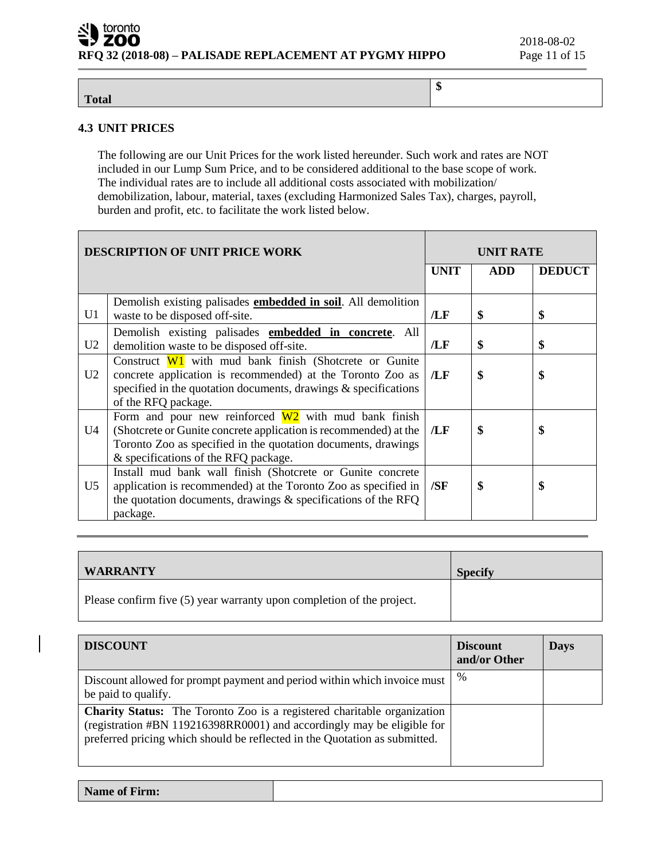**\$**

## **Total**

# **4.3 UNIT PRICES**

The following are our Unit Prices for the work listed hereunder. Such work and rates are NOT included in our Lump Sum Price, and to be considered additional to the base scope of work. The individual rates are to include all additional costs associated with mobilization/ demobilization, labour, material, taxes (excluding Harmonized Sales Tax), charges, payroll, burden and profit, etc. to facilitate the work listed below.

| <b>DESCRIPTION OF UNIT PRICE WORK</b>                                                                                                                                                                                                                        |                                                                                                                                                                                                                     | <b>UNIT RATE</b> |            |                   |
|--------------------------------------------------------------------------------------------------------------------------------------------------------------------------------------------------------------------------------------------------------------|---------------------------------------------------------------------------------------------------------------------------------------------------------------------------------------------------------------------|------------------|------------|-------------------|
|                                                                                                                                                                                                                                                              |                                                                                                                                                                                                                     | <b>UNIT</b>      | <b>ADD</b> | <b>DEDUCT</b>     |
| U1                                                                                                                                                                                                                                                           | Demolish existing palisades <b>embedded in soil</b> . All demolition<br>waste to be disposed off-site.                                                                                                              | /LF              | \$         | \$                |
| U <sub>2</sub>                                                                                                                                                                                                                                               | Demolish existing palisades <b>embedded in concrete</b> . All<br>demolition waste to be disposed off-site.                                                                                                          | /LF              | \$         | $\boldsymbol{\$}$ |
| U <sub>2</sub>                                                                                                                                                                                                                                               | Construct $W1$ with mud bank finish (Shotcrete or Gunite<br>concrete application is recommended) at the Toronto Zoo as<br>specified in the quotation documents, drawings $\&$ specifications<br>of the RFQ package. | /LF              | \$         | \$                |
| Form and pour new reinforced $W2$ with mud bank finish<br>(Shotcrete or Gunite concrete application is recommended) at the<br>\$<br>U4<br>\$<br>/LF<br>Toronto Zoo as specified in the quotation documents, drawings<br>& specifications of the RFQ package. |                                                                                                                                                                                                                     |                  |            |                   |
| U5                                                                                                                                                                                                                                                           | Install mud bank wall finish (Shotcrete or Gunite concrete<br>application is recommended) at the Toronto Zoo as specified in<br>the quotation documents, drawings & specifications of the RFQ<br>package.           | /SF              | \$         | S                 |

| <b>WARRANTY</b>                                                       | <b>Specify</b> |
|-----------------------------------------------------------------------|----------------|
| Please confirm five (5) year warranty upon completion of the project. |                |

| <b>DISCOUNT</b>                                                                                                                                                                                                                        | <b>Discount</b><br>and/or Other | <b>Days</b> |
|----------------------------------------------------------------------------------------------------------------------------------------------------------------------------------------------------------------------------------------|---------------------------------|-------------|
| Discount allowed for prompt payment and period within which invoice must<br>be paid to qualify.                                                                                                                                        | $\%$                            |             |
| <b>Charity Status:</b> The Toronto Zoo is a registered charitable organization<br>(registration #BN 119216398RR0001) and accordingly may be eligible for<br>preferred pricing which should be reflected in the Quotation as submitted. |                                 |             |

| <b>Name of Firm:</b> |  |
|----------------------|--|
|                      |  |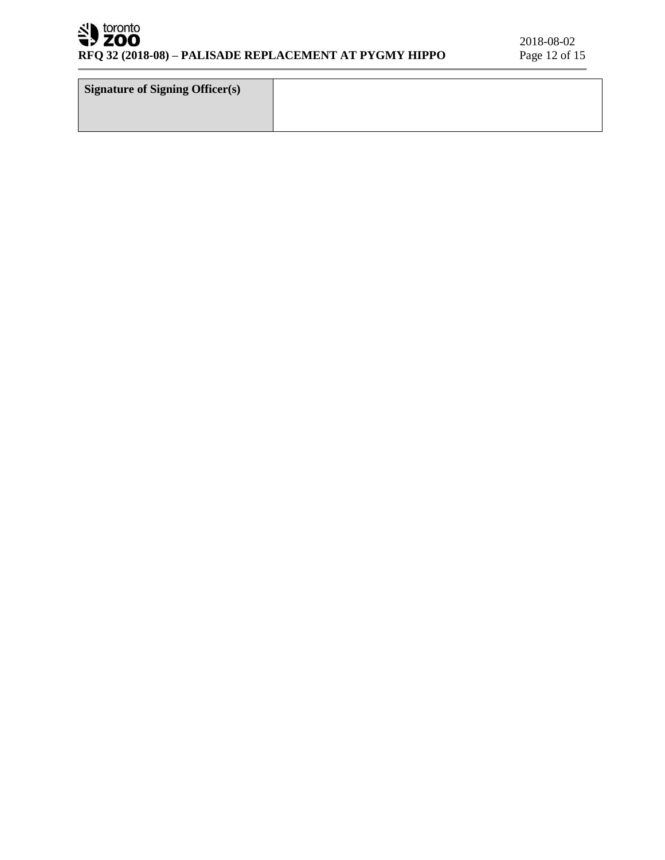# SU toronto

| <b>Signature of Signing Officer(s)</b> |  |
|----------------------------------------|--|
|                                        |  |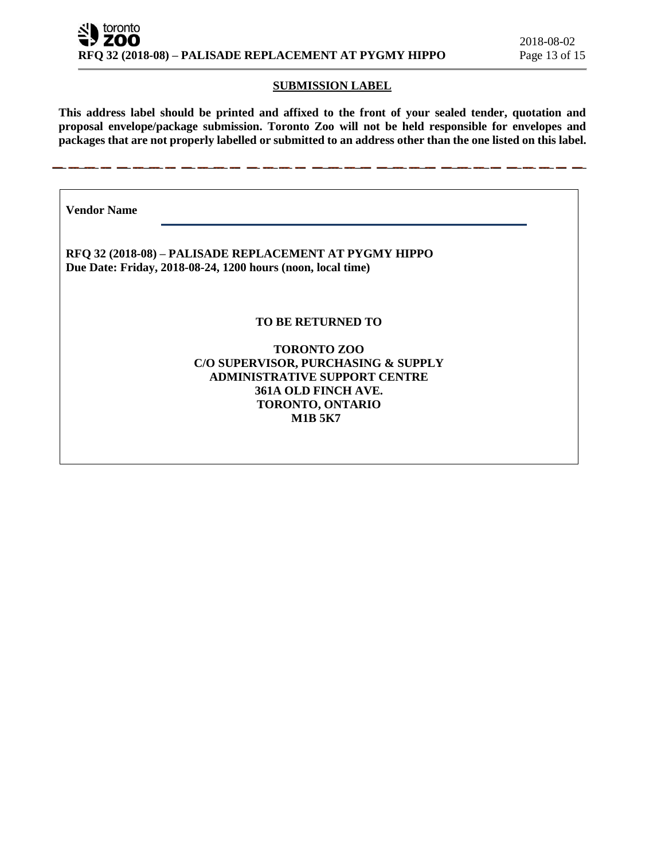#### **SUBMISSION LABEL**

**This address label should be printed and affixed to the front of your sealed tender, quotation and proposal envelope/package submission. Toronto Zoo will not be held responsible for envelopes and packages that are not properly labelled or submitted to an address other than the one listed on this label.**

**Vendor Name** 

**RFQ 32 (2018-08) – PALISADE REPLACEMENT AT PYGMY HIPPO Due Date: Friday, 2018-08-24, 1200 hours (noon, local time)**

## **TO BE RETURNED TO**

## **TORONTO ZOO C/O SUPERVISOR, PURCHASING & SUPPLY ADMINISTRATIVE SUPPORT CENTRE 361A OLD FINCH AVE. TORONTO, ONTARIO M1B 5K7**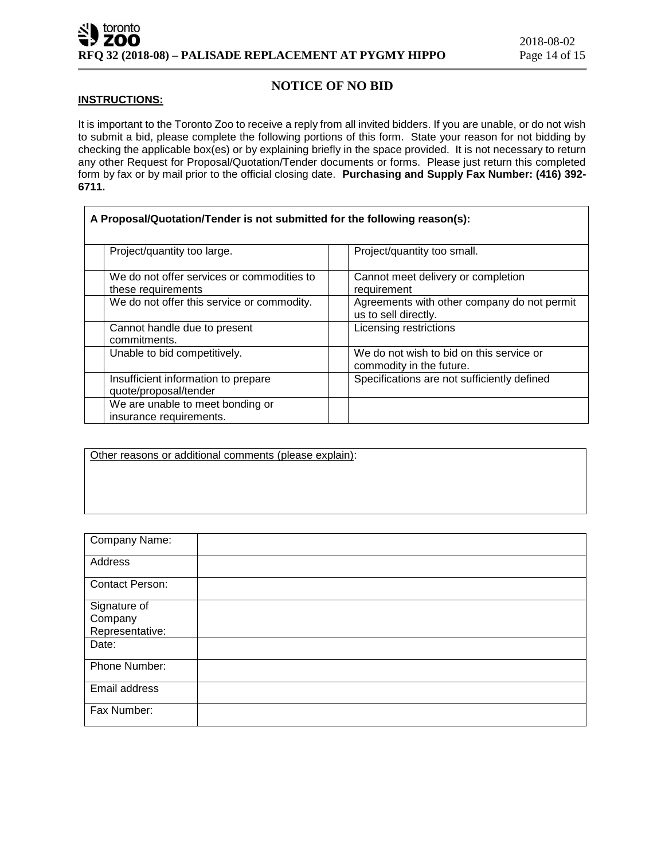# **NOTICE OF NO BID**

#### **INSTRUCTIONS:**

It is important to the Toronto Zoo to receive a reply from all invited bidders. If you are unable, or do not wish to submit a bid, please complete the following portions of this form. State your reason for not bidding by checking the applicable box(es) or by explaining briefly in the space provided. It is not necessary to return any other Request for Proposal/Quotation/Tender documents or forms. Please just return this completed form by fax or by mail prior to the official closing date. **Purchasing and Supply Fax Number: (416) 392- 6711.**

| A Proposal/Quotation/Tender is not submitted for the following reason(s): |                                                                      |  |  |
|---------------------------------------------------------------------------|----------------------------------------------------------------------|--|--|
| Project/quantity too large.                                               | Project/quantity too small.                                          |  |  |
| We do not offer services or commodities to<br>these requirements          | Cannot meet delivery or completion<br>requirement                    |  |  |
| We do not offer this service or commodity.                                | Agreements with other company do not permit<br>us to sell directly.  |  |  |
| Cannot handle due to present<br>commitments.                              | Licensing restrictions                                               |  |  |
| Unable to bid competitively.                                              | We do not wish to bid on this service or<br>commodity in the future. |  |  |
| Insufficient information to prepare<br>quote/proposal/tender              | Specifications are not sufficiently defined                          |  |  |
| We are unable to meet bonding or<br>insurance requirements.               |                                                                      |  |  |

Other reasons or additional comments (please explain):

| Company Name:                              |  |
|--------------------------------------------|--|
| Address                                    |  |
| <b>Contact Person:</b>                     |  |
| Signature of<br>Company<br>Representative: |  |
| Date:                                      |  |
| Phone Number:                              |  |
| Email address                              |  |
| Fax Number:                                |  |